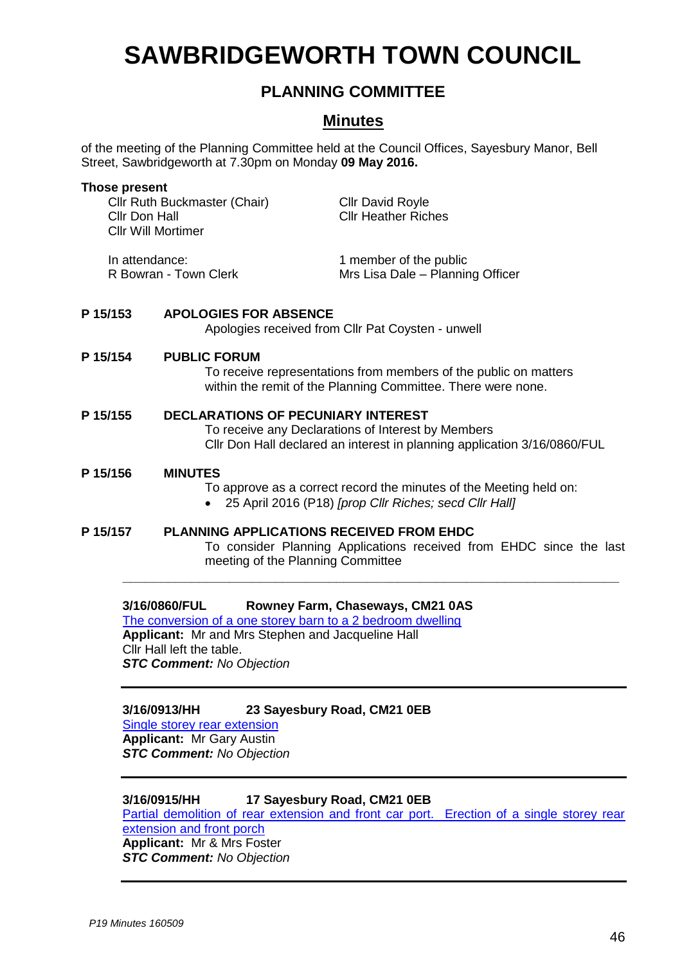# **SAWBRIDGEWORTH TOWN COUNCIL**

## **PLANNING COMMITTEE**

## **Minutes**

of the meeting of the Planning Committee held at the Council Offices, Sayesbury Manor, Bell Street, Sawbridgeworth at 7.30pm on Monday **09 May 2016.**

| <b>Those present</b><br>Cllr Ruth Buckmaster (Chair)<br>Cllr Don Hall<br><b>Cllr Will Mortimer</b> |                                                                                                                                                                             | <b>Cllr David Royle</b><br><b>Cllr Heather Riches</b>                                                                                                       |
|----------------------------------------------------------------------------------------------------|-----------------------------------------------------------------------------------------------------------------------------------------------------------------------------|-------------------------------------------------------------------------------------------------------------------------------------------------------------|
| In attendance:<br>R Bowran - Town Clerk                                                            |                                                                                                                                                                             | 1 member of the public<br>Mrs Lisa Dale - Planning Officer                                                                                                  |
| P 15/153                                                                                           | <b>APOLOGIES FOR ABSENCE</b>                                                                                                                                                | Apologies received from Cllr Pat Coysten - unwell                                                                                                           |
| P 15/154                                                                                           | <b>PUBLIC FORUM</b><br>To receive representations from members of the public on matters<br>within the remit of the Planning Committee. There were none.                     |                                                                                                                                                             |
| P 15/155                                                                                           | <b>DECLARATIONS OF PECUNIARY INTEREST</b><br>To receive any Declarations of Interest by Members<br>Cllr Don Hall declared an interest in planning application 3/16/0860/FUL |                                                                                                                                                             |
| P 15/156                                                                                           | <b>MINUTES</b><br>To approve as a correct record the minutes of the Meeting held on:<br>25 April 2016 (P18) [prop Cllr Riches; secd Cllr Hall]                              |                                                                                                                                                             |
| P 15/157                                                                                           |                                                                                                                                                                             | <b>PLANNING APPLICATIONS RECEIVED FROM EHDC</b><br>To consider Planning Applications received from EHDC since the last<br>meeting of the Planning Committee |
|                                                                                                    | 3/16/0860/FUL<br>The conversion of a one storey barn to a 2 bedroom dwelling<br>Applicant: Mr and Mrs Stephen and Jacqueline Hall<br>Cllr Hall laft tha tahla l             | Rowney Farm, Chaseways, CM21 0AS                                                                                                                            |

Cllr Hall left the table. *STC Comment: No Objection*

### **3/16/0913/HH 23 Sayesbury Road, CM21 0EB**

[Single storey rear extension](https://publicaccess.eastherts.gov.uk/online-applications/applicationDetails.do?activeTab=summary&keyVal=O5TI7IGLJIP00) **Applicant:** Mr Gary Austin *STC Comment: No Objection*

## **3/16/0915/HH 17 Sayesbury Road, CM21 0EB**

[Partial demolition of rear extension and front car port. Erection of a single storey rear](https://publicaccess.eastherts.gov.uk/online-applications/applicationDetails.do?activeTab=summary&keyVal=O5TN0MGL00X00)  [extension and front porch](https://publicaccess.eastherts.gov.uk/online-applications/applicationDetails.do?activeTab=summary&keyVal=O5TN0MGL00X00) **Applicant:** Mr & Mrs Foster *STC Comment: No Objection*